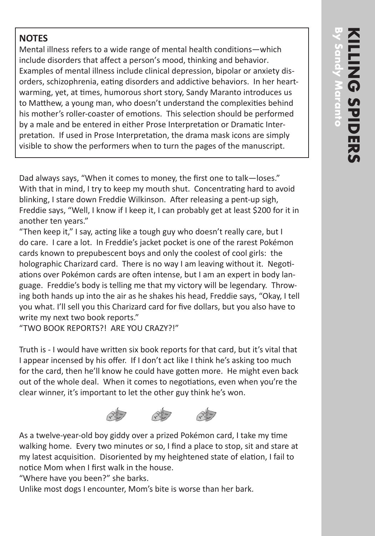## **NOTES**

Mental illness refers to a wide range of mental health conditions—which include disorders that affect a person's mood, thinking and behavior. Examples of mental illness include clinical depression, bipolar or anxiety disorders, schizophrenia, eating disorders and addictive behaviors. In her heartwarming, yet, at times, humorous short story, Sandy Maranto introduces us to Matthew, a young man, who doesn't understand the complexities behind his mother's roller-coaster of emotions. This selection should be performed by a male and be entered in either Prose Interpretation or Dramatic Interpretation. If used in Prose Interpretation, the drama mask icons are simply visible to show the performers when to turn the pages of the manuscript.

Dad always says, "When it comes to money, the first one to talk—loses." With that in mind, I try to keep my mouth shut. Concentrating hard to avoid blinking, I stare down Freddie Wilkinson. After releasing a pent-up sigh, Freddie says, "Well, I know if I keep it, I can probably get at least \$200 for it in another ten years."

"Then keep it," I say, acting like a tough guy who doesn't really care, but I do care. I care a lot. In Freddie's jacket pocket is one of the rarest Pokémon cards known to prepubescent boys and only the coolest of cool girls: the holographic Charizard card. There is no way I am leaving without it. Negotiations over Pokémon cards are often intense, but I am an expert in body language. Freddie's body is telling me that my victory will be legendary. Throwing both hands up into the air as he shakes his head, Freddie says, "Okay, I tell you what. I'll sell you this Charizard card for five dollars, but you also have to write my next two book reports."

"TWO BOOK REPORTS?! ARE YOU CRAZY?!"

Truth is - I would have written six book reports for that card, but it's vital that I appear incensed by his offer. If I don't act like I think he's asking too much for the card, then he'll know he could have gotten more. He might even back out of the whole deal. When it comes to negotiations, even when you're the clear winner, it's important to let the other guy think he's won.



As a twelve-year-old boy giddy over a prized Pokémon card, I take my time walking home. Every two minutes or so, I find a place to stop, sit and stare at my latest acquisition. Disoriented by my heightened state of elation, I fail to notice Mom when I first walk in the house.

"Where have you been?" she barks.

Unlike most dogs I encounter, Mom's bite is worse than her bark.